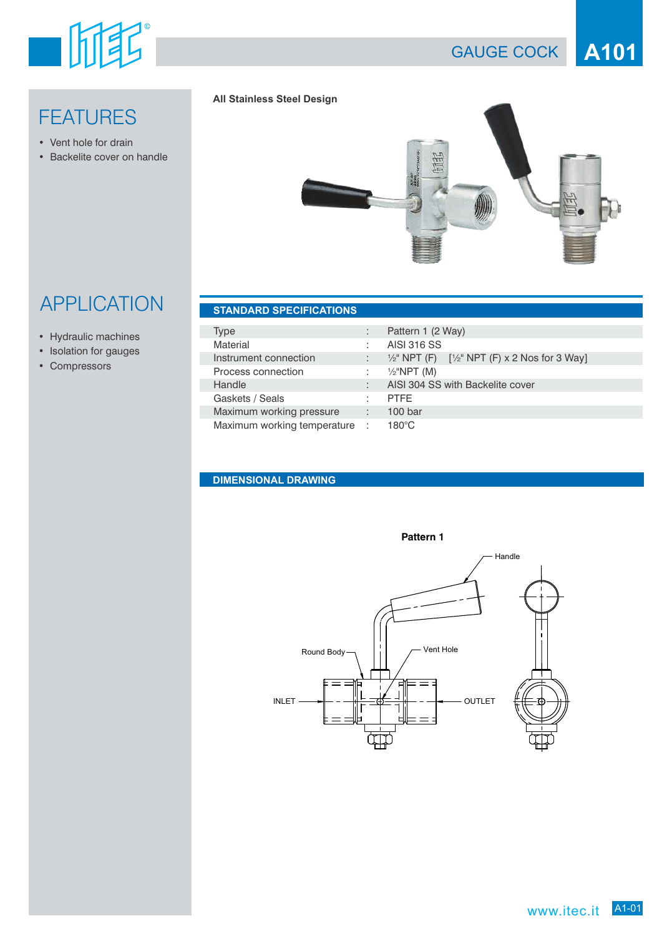

## **FEATURES**

- Vent hole for drain
- Backelite cover on handle

#### **All Stainless Steel Design**



# **APPLICATION**

- Hydraulic machines
- Isolation for gauges
- Compressors

|  | <b>STANDARD SPECIFICATIONS.</b> |  |
|--|---------------------------------|--|
|  |                                 |  |
|  |                                 |  |

| Type                        |            | Pattern 1 (2 Way)                                                       |
|-----------------------------|------------|-------------------------------------------------------------------------|
| Material                    |            | <b>AISI 316 SS</b>                                                      |
| Instrument connection       |            | $\frac{1}{2}$ " NPT (F) $\left[\frac{1}{2}$ " NPT (F) x 2 Nos for 3 Way |
| Process connection          | t.         | $1/2$ "NPT (M)                                                          |
| Handle                      |            | AISI 304 SS with Backelite cover                                        |
| Gaskets / Seals             |            | <b>PTFE</b>                                                             |
| Maximum working pressure    | 47         | 100 <sub>bar</sub>                                                      |
| Maximum working temperature | <b>COL</b> | $180^{\circ}$ C                                                         |

#### **DIMENSIONAL DRAWING**

ľ